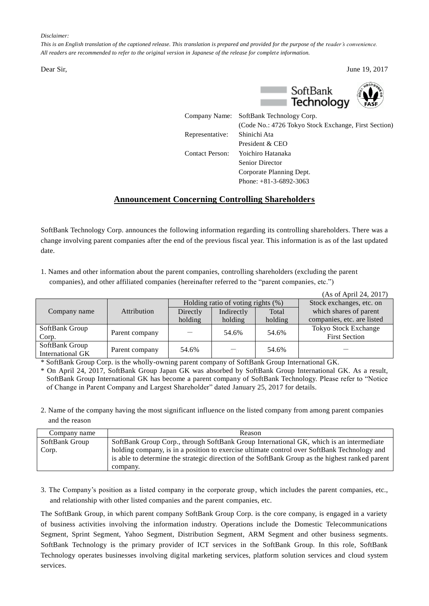## *Disclaimer:*

*This is an English translation of the captioned release. This translation is prepared and provided for the purpose of the reader's convenience. All readers are recommended to refer to the original version in Japanese of the release for complete information.*





|                        | Company Name: SoftBank Technology Corp.              |
|------------------------|------------------------------------------------------|
|                        | (Code No.: 4726 Tokyo Stock Exchange, First Section) |
| Representative:        | Shinichi Ata                                         |
|                        | President & CEO                                      |
| <b>Contact Person:</b> | Yoichiro Hatanaka                                    |
|                        | <b>Senior Director</b>                               |
|                        | Corporate Planning Dept.                             |
|                        | Phone: $+81-3-6892-3063$                             |

## **Announcement Concerning Controlling Shareholders**

SoftBank Technology Corp. announces the following information regarding its controlling shareholders. There was a change involving parent companies after the end of the previous fiscal year. This information is as of the last updated date.

1. Names and other information about the parent companies, controlling shareholders (excluding the parent companies), and other affiliated companies (hereinafter referred to the "parent companies, etc.")

|                  |                |                                       |            |         | (As of April 24, 2017)     |
|------------------|----------------|---------------------------------------|------------|---------|----------------------------|
|                  | Attribution    | Holding ratio of voting rights $(\%)$ |            |         | Stock exchanges, etc. on   |
| Company name     |                | Directly                              | Indirectly | Total   | which shares of parent     |
|                  |                | holding                               | holding    | holding | companies, etc. are listed |
| SoftBank Group   |                |                                       | 54.6%      | 54.6%   | Tokyo Stock Exchange       |
| Corp.            | Parent company |                                       |            |         | <b>First Section</b>       |
| SoftBank Group   |                | 54.6%                                 |            | 54.6%   |                            |
| International GK | Parent company |                                       |            |         |                            |

\* SoftBank Group Corp. is the wholly-owning parent company of SoftBank Group International GK.

\* On April 24, 2017, SoftBank Group Japan GK was absorbed by SoftBank Group International GK. As a result, SoftBank Group International GK has become a parent company of SoftBank Technology. Please refer to "Notice of Change in Parent Company and Largest Shareholder" dated January 25, 2017 for details.

2. Name of the company having the most significant influence on the listed company from among parent companies and the reason

| Company name   | Reason                                                                                          |
|----------------|-------------------------------------------------------------------------------------------------|
| SoftBank Group | SoftBank Group Corp., through SoftBank Group International GK, which is an intermediate         |
| Corp.          | holding company, is in a position to exercise ultimate control over SoftBank Technology and     |
|                | is able to determine the strategic direction of the SoftBank Group as the highest ranked parent |
|                | company.                                                                                        |

3. The Company's position as a listed company in the corporate group, which includes the parent companies, etc., and relationship with other listed companies and the parent companies, etc.

The SoftBank Group, in which parent company SoftBank Group Corp. is the core company, is engaged in a variety of business activities involving the information industry. Operations include the Domestic Telecommunications Segment, Sprint Segment, Yahoo Segment, Distribution Segment, ARM Segment and other business segments. SoftBank Technology is the primary provider of ICT services in the SoftBank Group. In this role, SoftBank Technology operates businesses involving digital marketing services, platform solution services and cloud system services.